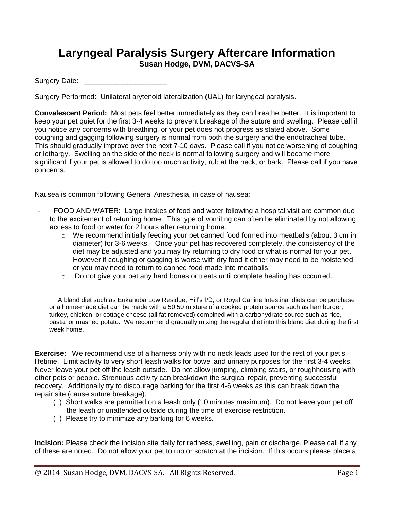## **Laryngeal Paralysis Surgery Aftercare Information Susan Hodge, DVM, DACVS-SA**

Surgery Date: \_\_\_\_\_\_\_\_\_\_\_\_\_\_\_\_\_\_\_\_\_

Surgery Performed: Unilateral arytenoid lateralization (UAL) for laryngeal paralysis.

**Convalescent Period:** Most pets feel better immediately as they can breathe better. It is important to keep your pet quiet for the first 3-4 weeks to prevent breakage of the suture and swelling. Please call if you notice any concerns with breathing, or your pet does not progress as stated above. Some coughing and gagging following surgery is normal from both the surgery and the endotracheal tube. This should gradually improve over the next 7-10 days. Please call if you notice worsening of coughing or lethargy. Swelling on the side of the neck is normal following surgery and will become more significant if your pet is allowed to do too much activity, rub at the neck, or bark. Please call if you have concerns.

Nausea is common following General Anesthesia, in case of nausea:

- FOOD AND WATER: Large intakes of food and water following a hospital visit are common due to the excitement of returning home. This type of vomiting can often be eliminated by not allowing access to food or water for 2 hours after returning home.
	- $\circ$  We recommend initially feeding your pet canned food formed into meatballs (about 3 cm in diameter) for 3-6 weeks. Once your pet has recovered completely, the consistency of the diet may be adjusted and you may try returning to dry food or what is normal for your pet. However if coughing or gagging is worse with dry food it either may need to be moistened or you may need to return to canned food made into meatballs.
	- o Do not give your pet any hard bones or treats until complete healing has occurred.

A bland diet such as Eukanuba Low Residue, Hill's I/D, or Royal Canine Intestinal diets can be purchase or a home-made diet can be made with a 50:50 mixture of a cooked protein source such as hamburger, turkey, chicken, or cottage cheese (all fat removed) combined with a carbohydrate source such as rice, pasta, or mashed potato. We recommend gradually mixing the regular diet into this bland diet during the first week home.

**Exercise:** We recommend use of a harness only with no neck leads used for the rest of your pet's lifetime. Limit activity to very short leash walks for bowel and urinary purposes for the first 3-4 weeks. Never leave your pet off the leash outside. Do not allow jumping, climbing stairs, or roughhousing with other pets or people. Strenuous activity can breakdown the surgical repair, preventing successful recovery. Additionally try to discourage barking for the first 4-6 weeks as this can break down the repair site (cause suture breakage).

- ( ) Short walks are permitted on a leash only (10 minutes maximum). Do not leave your pet off the leash or unattended outside during the time of exercise restriction.
- ( ) Please try to minimize any barking for 6 weeks.

**Incision:** Please check the incision site daily for redness, swelling, pain or discharge. Please call if any of these are noted. Do not allow your pet to rub or scratch at the incision. If this occurs please place a